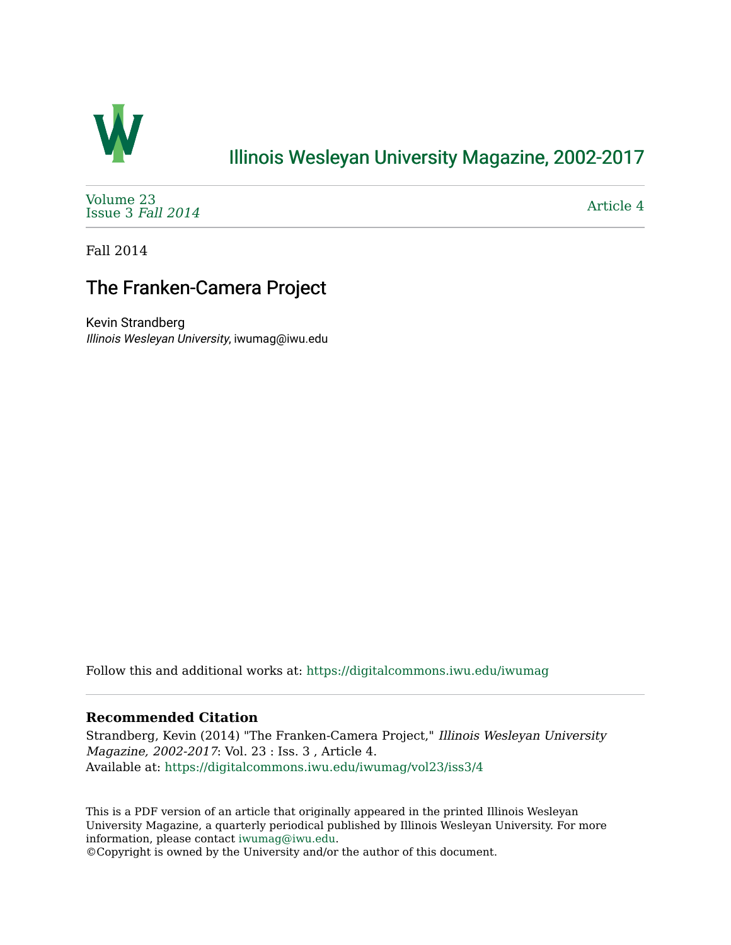

## [Illinois Wesleyan University Magazine, 2002-2017](https://digitalcommons.iwu.edu/iwumag)

[Volume 23](https://digitalcommons.iwu.edu/iwumag/vol23)  [Issue 3](https://digitalcommons.iwu.edu/iwumag/vol23/iss3) Fall 2014

[Article 4](https://digitalcommons.iwu.edu/iwumag/vol23/iss3/4) 

Fall 2014

## The Franken-Camera Project

Kevin Strandberg Illinois Wesleyan University, iwumag@iwu.edu

Follow this and additional works at: [https://digitalcommons.iwu.edu/iwumag](https://digitalcommons.iwu.edu/iwumag?utm_source=digitalcommons.iwu.edu%2Fiwumag%2Fvol23%2Fiss3%2F4&utm_medium=PDF&utm_campaign=PDFCoverPages) 

## **Recommended Citation**

Strandberg, Kevin (2014) "The Franken-Camera Project," Illinois Wesleyan University Magazine, 2002-2017: Vol. 23 : Iss. 3 , Article 4. Available at: [https://digitalcommons.iwu.edu/iwumag/vol23/iss3/4](https://digitalcommons.iwu.edu/iwumag/vol23/iss3/4?utm_source=digitalcommons.iwu.edu%2Fiwumag%2Fvol23%2Fiss3%2F4&utm_medium=PDF&utm_campaign=PDFCoverPages)

This is a PDF version of an article that originally appeared in the printed Illinois Wesleyan University Magazine, a quarterly periodical published by Illinois Wesleyan University. For more information, please contact [iwumag@iwu.edu](mailto:iwumag@iwu.edu).

©Copyright is owned by the University and/or the author of this document.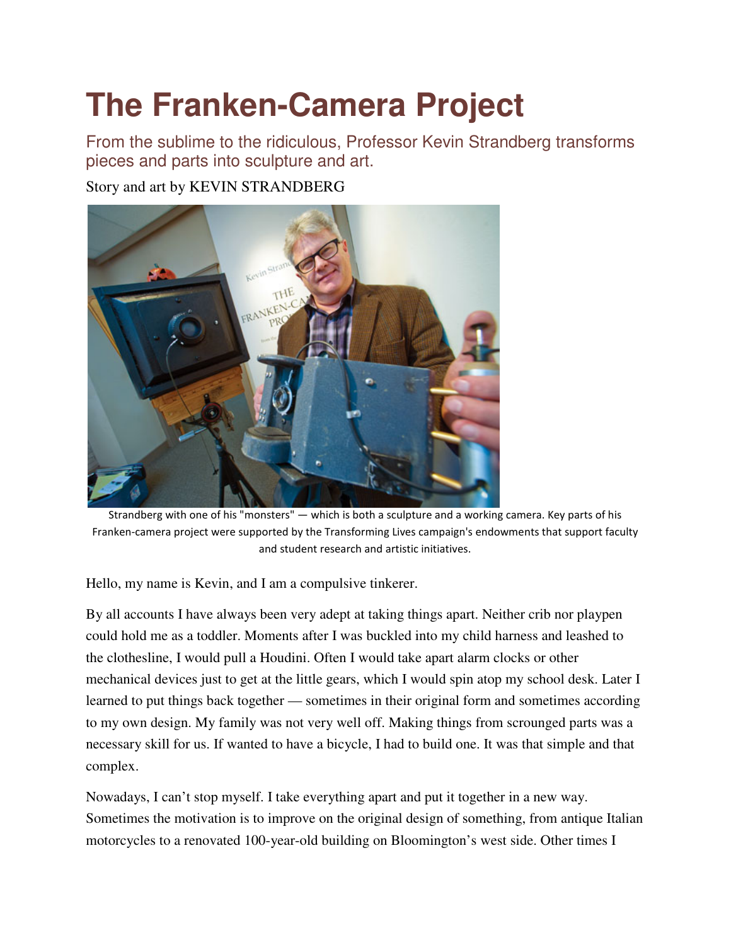## **The Franken-Camera Project**

From the sublime to the ridiculous, Professor Kevin Strandberg transforms pieces and parts into sculpture and art.

Story and art by KEVIN STRANDBERG



Strandberg with one of his "monsters" — which is both a sculpture and a working camera. Key parts of his Franken-camera project were supported by the Transforming Lives campaign's endowments that support faculty and student research and artistic initiatives.

Hello, my name is Kevin, and I am a compulsive tinkerer.

By all accounts I have always been very adept at taking things apart. Neither crib nor playpen could hold me as a toddler. Moments after I was buckled into my child harness and leashed to the clothesline, I would pull a Houdini. Often I would take apart alarm clocks or other mechanical devices just to get at the little gears, which I would spin atop my school desk. Later I learned to put things back together — sometimes in their original form and sometimes according to my own design. My family was not very well off. Making things from scrounged parts was a necessary skill for us. If wanted to have a bicycle, I had to build one. It was that simple and that complex.

Nowadays, I can't stop myself. I take everything apart and put it together in a new way. Sometimes the motivation is to improve on the original design of something, from antique Italian motorcycles to a renovated 100-year-old building on Bloomington's west side. Other times I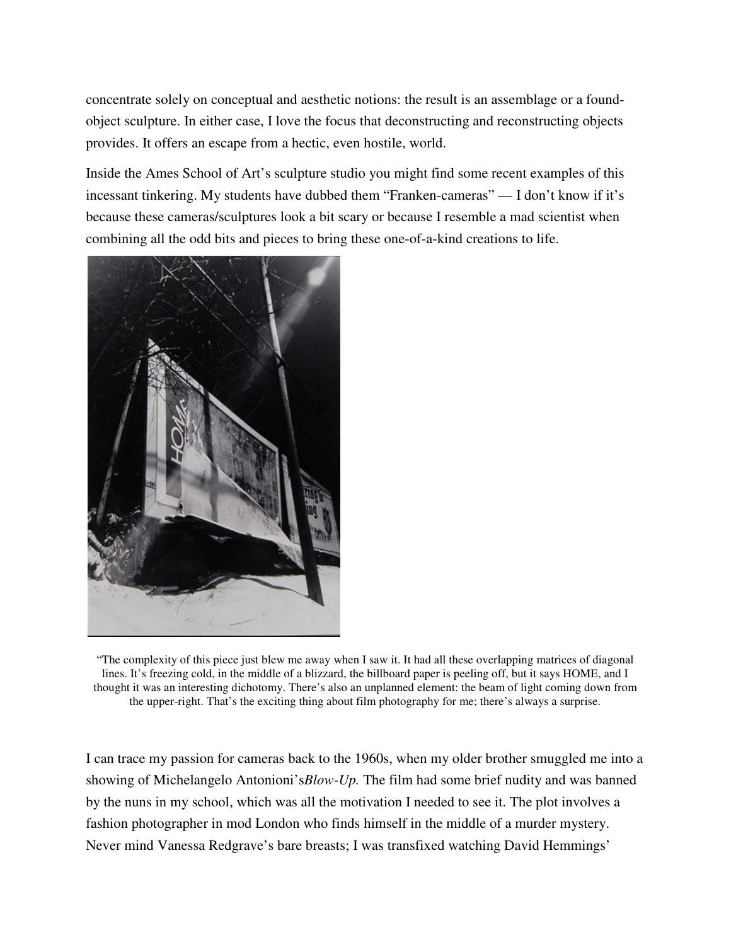concentrate solely on conceptual and aesthetic notions: the result is an assemblage or a foundobject sculpture. In either case, I love the focus that deconstructing and reconstructing objects provides. It offers an escape from a hectic, even hostile, world.

Inside the Ames School of Art's sculpture studio you might find some recent examples of this incessant tinkering. My students have dubbed them "Franken-cameras" — I don't know if it's because these cameras/sculptures look a bit scary or because I resemble a mad scientist when combining all the odd bits and pieces to bring these one-of-a-kind creations to life.



"The complexity of this piece just blew me away when I saw it. It had all these overlapping matrices of diagonal lines. It's freezing cold, in the middle of a blizzard, the billboard paper is peeling off, but it says HOME, and I thought it was an interesting dichotomy. There's also an unplanned element: the beam of light coming down from the upper-right. That's the exciting thing about film photography for me; there's always a surprise.

I can trace my passion for cameras back to the 1960s, when my older brother smuggled me into a showing of Michelangelo Antonioni's*Blow-Up.* The film had some brief nudity and was banned by the nuns in my school, which was all the motivation I needed to see it. The plot involves a fashion photographer in mod London who finds himself in the middle of a murder mystery. Never mind Vanessa Redgrave's bare breasts; I was transfixed watching David Hemmings'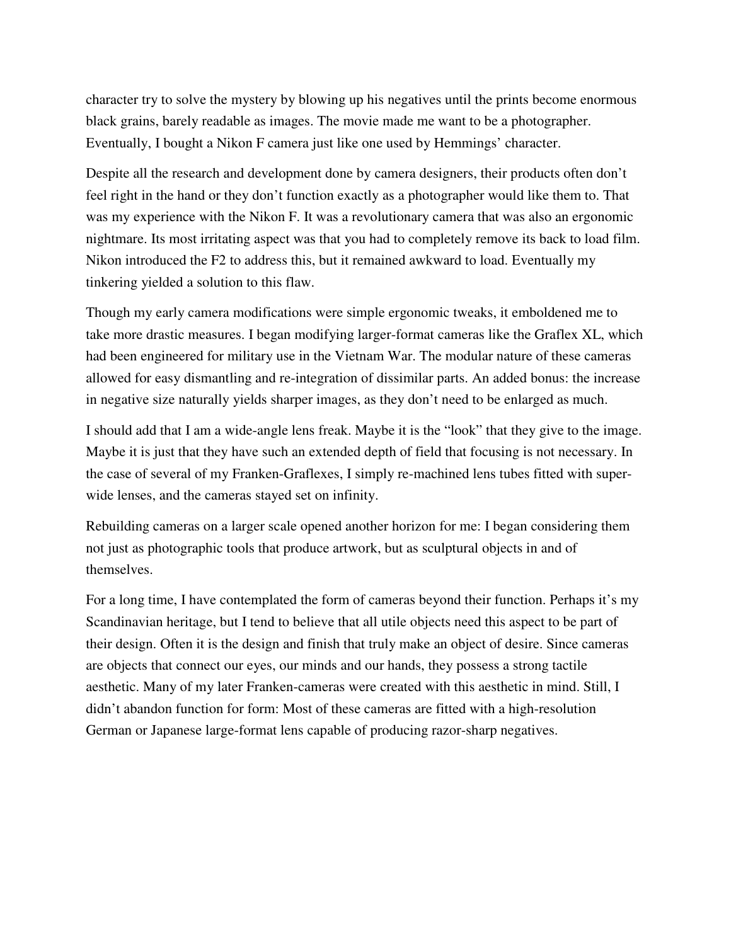character try to solve the mystery by blowing up his negatives until the prints become enormous black grains, barely readable as images. The movie made me want to be a photographer. Eventually, I bought a Nikon F camera just like one used by Hemmings' character.

Despite all the research and development done by camera designers, their products often don't feel right in the hand or they don't function exactly as a photographer would like them to. That was my experience with the Nikon F. It was a revolutionary camera that was also an ergonomic nightmare. Its most irritating aspect was that you had to completely remove its back to load film. Nikon introduced the F2 to address this, but it remained awkward to load. Eventually my tinkering yielded a solution to this flaw.

Though my early camera modifications were simple ergonomic tweaks, it emboldened me to take more drastic measures. I began modifying larger-format cameras like the Graflex XL, which had been engineered for military use in the Vietnam War. The modular nature of these cameras allowed for easy dismantling and re-integration of dissimilar parts. An added bonus: the increase in negative size naturally yields sharper images, as they don't need to be enlarged as much.

I should add that I am a wide-angle lens freak. Maybe it is the "look" that they give to the image. Maybe it is just that they have such an extended depth of field that focusing is not necessary. In the case of several of my Franken-Graflexes, I simply re-machined lens tubes fitted with superwide lenses, and the cameras stayed set on infinity.

Rebuilding cameras on a larger scale opened another horizon for me: I began considering them not just as photographic tools that produce artwork, but as sculptural objects in and of themselves.

For a long time, I have contemplated the form of cameras beyond their function. Perhaps it's my Scandinavian heritage, but I tend to believe that all utile objects need this aspect to be part of their design. Often it is the design and finish that truly make an object of desire. Since cameras are objects that connect our eyes, our minds and our hands, they possess a strong tactile aesthetic. Many of my later Franken-cameras were created with this aesthetic in mind. Still, I didn't abandon function for form: Most of these cameras are fitted with a high-resolution German or Japanese large-format lens capable of producing razor-sharp negatives.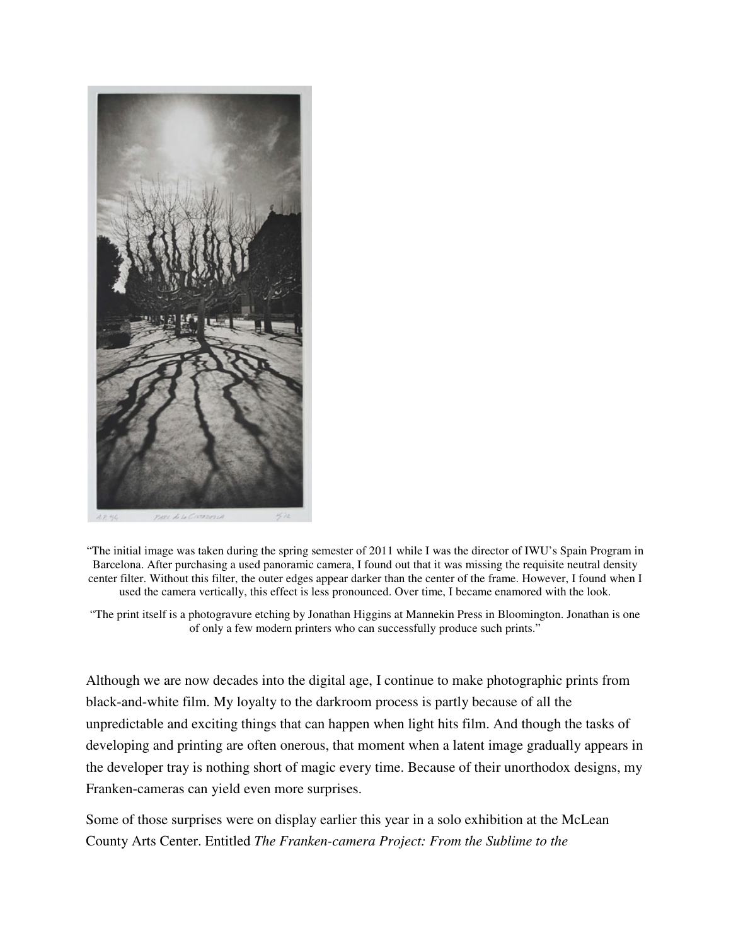

"The initial image was taken during the spring semester of 2011 while I was the director of IWU's Spain Program in Barcelona. After purchasing a used panoramic camera, I found out that it was missing the requisite neutral density center filter. Without this filter, the outer edges appear darker than the center of the frame. However, I found when I used the camera vertically, this effect is less pronounced. Over time, I became enamored with the look.

"The print itself is a photogravure etching by Jonathan Higgins at Mannekin Press in Bloomington. Jonathan is one of only a few modern printers who can successfully produce such prints."

Although we are now decades into the digital age, I continue to make photographic prints from black-and-white film. My loyalty to the darkroom process is partly because of all the unpredictable and exciting things that can happen when light hits film. And though the tasks of developing and printing are often onerous, that moment when a latent image gradually appears in the developer tray is nothing short of magic every time. Because of their unorthodox designs, my Franken-cameras can yield even more surprises.

Some of those surprises were on display earlier this year in a solo exhibition at the McLean County Arts Center. Entitled *The Franken-camera Project: From the Sublime to the*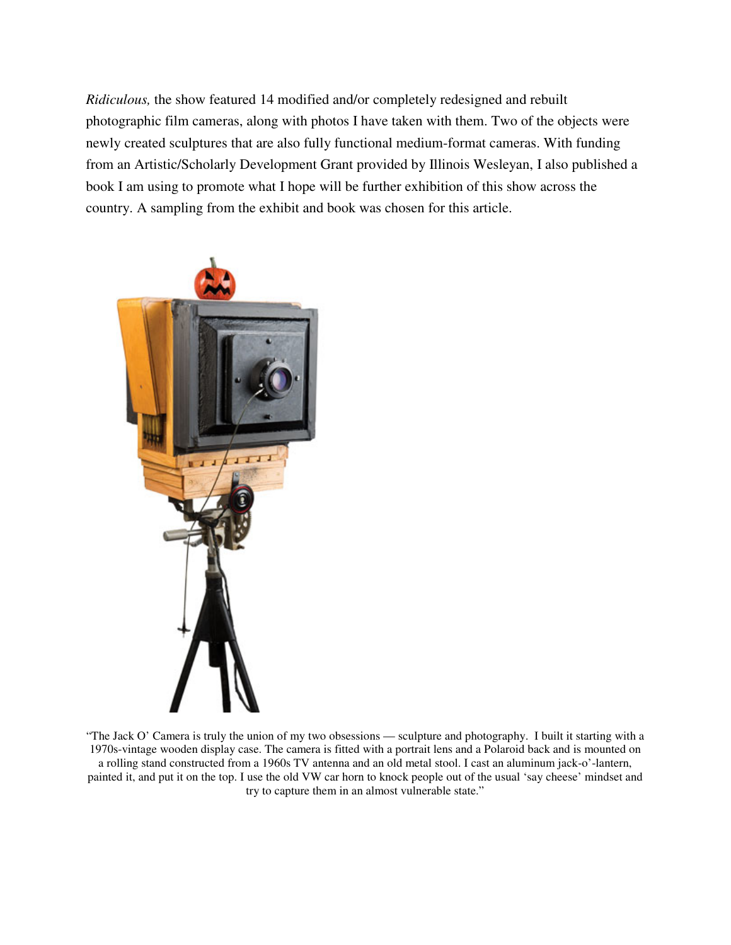*Ridiculous,* the show featured 14 modified and/or completely redesigned and rebuilt photographic film cameras, along with photos I have taken with them. Two of the objects were newly created sculptures that are also fully functional medium-format cameras. With funding from an Artistic/Scholarly Development Grant provided by Illinois Wesleyan, I also published a book I am using to promote what I hope will be further exhibition of this show across the country. A sampling from the exhibit and book was chosen for this article.



"The Jack O' Camera is truly the union of my two obsessions — sculpture and photography. I built it starting with a 1970s-vintage wooden display case. The camera is fitted with a portrait lens and a Polaroid back and is mounted on a rolling stand constructed from a 1960s TV antenna and an old metal stool. I cast an aluminum jack-o'-lantern, painted it, and put it on the top. I use the old VW car horn to knock people out of the usual 'say cheese' mindset and try to capture them in an almost vulnerable state."